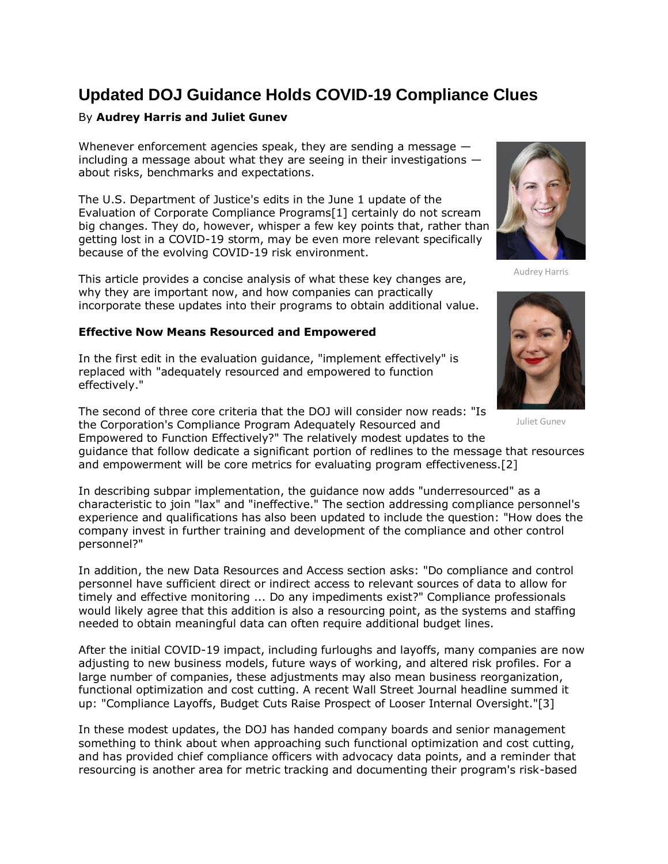# **Updated DOJ Guidance Holds COVID-19 Compliance Clues**

# By **Audrey Harris and Juliet Gunev**

Whenever enforcement agencies speak, they are sending a message including a message about what they are seeing in their investigations about risks, benchmarks and expectations.

The [U.S. Department of Justice'](https://www.law360.com/agencies/u-s-department-of-justice)s edits in the June 1 update of the Evaluation of Corporate Compliance Programs[1] certainly do not scream big changes. They do, however, whisper a few key points that, rather than getting lost in a COVID-19 storm, may be even more relevant specifically because of the evolving COVID-19 risk environment.

This article provides a concise analysis of what these key changes are, why they are important now, and how companies can practically incorporate these updates into their programs to obtain additional value.

## **Effective Now Means Resourced and Empowered**

In the first edit in the evaluation guidance, "implement effectively" is replaced with "adequately resourced and empowered to function effectively."

The second of three core criteria that the DOJ will consider now reads: "Is the Corporation's Compliance Program Adequately Resourced and

Empowered to Function Effectively?" The relatively modest updates to the guidance that follow dedicate a significant portion of redlines to the message that resources and empowerment will be core metrics for evaluating program effectiveness.[2]

In describing subpar implementation, the guidance now adds "underresourced" as a characteristic to join "lax" and "ineffective." The section addressing compliance personnel's experience and qualifications has also been updated to include the question: "How does the company invest in further training and development of the compliance and other control personnel?"

In addition, the new Data Resources and Access section asks: "Do compliance and control personnel have sufficient direct or indirect access to relevant sources of data to allow for timely and effective monitoring ... Do any impediments exist?" Compliance professionals would likely agree that this addition is also a resourcing point, as the systems and staffing needed to obtain meaningful data can often require additional budget lines.

After the initial COVID-19 impact, including furloughs and layoffs, many companies are now adjusting to new business models, future ways of working, and altered risk profiles. For a large number of companies, these adjustments may also mean business reorganization, functional optimization and cost cutting. A recent Wall Street Journal headline summed it up: "Compliance Layoffs, Budget Cuts Raise Prospect of Looser Internal Oversight."[3]

In these modest updates, the DOJ has handed company boards and senior management something to think about when approaching such functional optimization and cost cutting, and has provided chief compliance officers with advocacy data points, and a reminder that resourcing is another area for metric tracking and documenting their program's risk-based

Audrey Harris



Juliet Gunev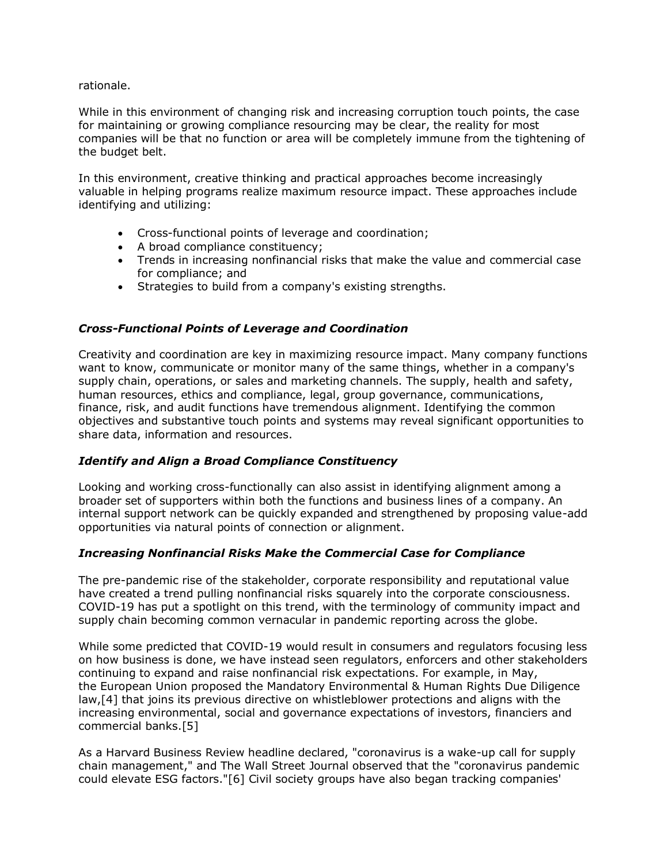rationale.

While in this environment of changing risk and increasing corruption touch points, the case for maintaining or growing compliance resourcing may be clear, the reality for most companies will be that no function or area will be completely immune from the tightening of the budget belt.

In this environment, creative thinking and practical approaches become increasingly valuable in helping programs realize maximum resource impact. These approaches include identifying and utilizing:

- Cross-functional points of leverage and coordination;
- A broad compliance constituency;
- Trends in increasing nonfinancial risks that make the value and commercial case for compliance; and
- Strategies to build from a company's existing strengths.

## *Cross-Functional Points of Leverage and Coordination*

Creativity and coordination are key in maximizing resource impact. Many company functions want to know, communicate or monitor many of the same things, whether in a company's supply chain, operations, or sales and marketing channels. The supply, health and safety, human resources, ethics and compliance, legal, group governance, communications, finance, risk, and audit functions have tremendous alignment. Identifying the common objectives and substantive touch points and systems may reveal significant opportunities to share data, information and resources.

#### *Identify and Align a Broad Compliance Constituency*

Looking and working cross-functionally can also assist in identifying alignment among a broader set of supporters within both the functions and business lines of a company. An internal support network can be quickly expanded and strengthened by proposing value-add opportunities via natural points of connection or alignment.

#### *Increasing Nonfinancial Risks Make the Commercial Case for Compliance*

The pre-pandemic rise of the stakeholder, corporate responsibility and reputational value have created a trend pulling nonfinancial risks squarely into the corporate consciousness. COVID-19 has put a spotlight on this trend, with the terminology of community impact and supply chain becoming common vernacular in pandemic reporting across the globe.

While some predicted that COVID-19 would result in consumers and regulators focusing less on how business is done, we have instead seen regulators, enforcers and other stakeholders continuing to expand and raise nonfinancial risk expectations. For example, in May, the [European Union](https://www.law360.com/agencies/european-union-1) proposed the Mandatory Environmental & Human Rights Due Diligence law,[4] that joins its previous directive on whistleblower protections and aligns with the increasing environmental, social and governance expectations of investors, financiers and commercial banks.[5]

As a Harvard Business Review headline declared, "coronavirus is a wake-up call for supply chain management," and The Wall Street Journal observed that the "coronavirus pandemic could elevate ESG factors."[6] Civil society groups have also began tracking companies'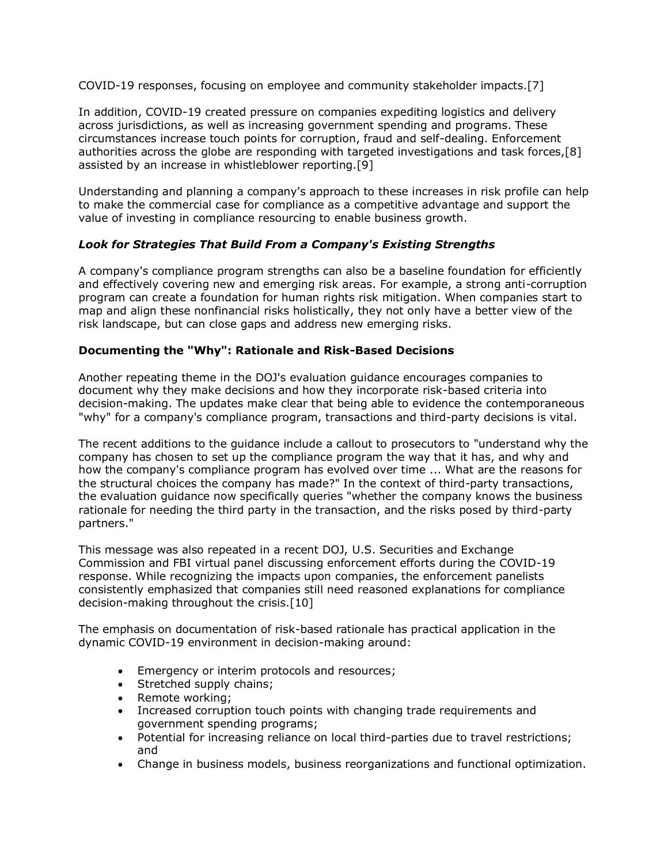COVID-19 responses, focusing on employee and community stakeholder impacts.[7]

In addition, COVID-19 created pressure on companies expediting logistics and delivery across jurisdictions, as well as increasing government spending and programs. These circumstances increase touch points for corruption, fraud and self-dealing. Enforcement authorities across the globe are responding with targeted investigations and task forces,[8] assisted by an increase in whistleblower reporting.[9]

Understanding and planning a company's approach to these increases in risk profile can help to make the commercial case for compliance as a competitive advantage and support the value of investing in compliance resourcing to enable business growth.

# *Look for Strategies That Build From a Company's Existing Strengths*

A company's compliance program strengths can also be a baseline foundation for efficiently and effectively covering new and emerging risk areas. For example, a strong anti-corruption program can create a foundation for human rights risk mitigation. When companies start to map and align these nonfinancial risks holistically, they not only have a better view of the risk landscape, but can close gaps and address new emerging risks.

#### **Documenting the "Why": Rationale and Risk-Based Decisions**

Another repeating theme in the DOJ's evaluation guidance encourages companies to document why they make decisions and how they incorporate risk-based criteria into decision-making. The updates make clear that being able to evidence the contemporaneous "why" for a company's compliance program, transactions and third-party decisions is vital.

The recent additions to the guidance include a callout to prosecutors to "understand why the company has chosen to set up the compliance program the way that it has, and why and how the company's compliance program has evolved over time ... What are the reasons for the structural choices the company has made?" In the context of third-party transactions, the evaluation guidance now specifically queries "whether the company knows the business rationale for needing the third party in the transaction, and the risks posed by third-party partners."

This message was also repeated in a recent DOJ, [U.S. Securities and Exchange](https://www.law360.com/agencies/u-s-securities-and-exchange-commission)  [Commission](https://www.law360.com/agencies/u-s-securities-and-exchange-commission) and [FBI](https://www.law360.com/agencies/federal-bureau-of-investigation) virtual panel discussing enforcement efforts during the COVID-19 response. While recognizing the impacts upon companies, the enforcement panelists consistently emphasized that companies still need reasoned explanations for compliance decision-making throughout the crisis.[10]

The emphasis on documentation of risk-based rationale has practical application in the dynamic COVID-19 environment in decision-making around:

- Emergency or interim protocols and resources;
- Stretched supply chains;
- Remote working;
- Increased corruption touch points with changing trade requirements and government spending programs;
- Potential for increasing reliance on local third-parties due to travel restrictions; and
- Change in business models, business reorganizations and functional optimization.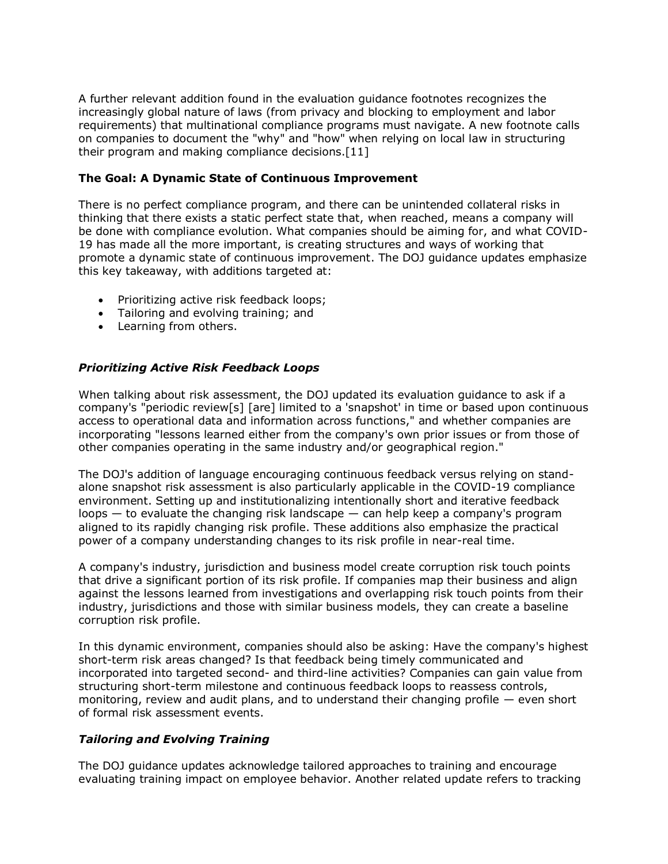A further relevant addition found in the evaluation guidance footnotes recognizes the increasingly global nature of laws (from privacy and blocking to employment and labor requirements) that multinational compliance programs must navigate. A new footnote calls on companies to document the "why" and "how" when relying on local law in structuring their program and making compliance decisions.[11]

#### **The Goal: A Dynamic State of Continuous Improvement**

There is no perfect compliance program, and there can be unintended collateral risks in thinking that there exists a static perfect state that, when reached, means a company will be done with compliance evolution. What companies should be aiming for, and what COVID-19 has made all the more important, is creating structures and ways of working that promote a dynamic state of continuous improvement. The DOJ guidance updates emphasize this key takeaway, with additions targeted at:

- Prioritizing active risk feedback loops;
- Tailoring and evolving training; and
- Learning from others.

## *Prioritizing Active Risk Feedback Loops*

When talking about risk assessment, the DOJ updated its evaluation guidance to ask if a company's "periodic review[s] [are] limited to a 'snapshot' in time or based upon continuous access to operational data and information across functions," and whether companies are incorporating "lessons learned either from the company's own prior issues or from those of other companies operating in the same industry and/or geographical region."

The DOJ's addition of language encouraging continuous feedback versus relying on standalone snapshot risk assessment is also particularly applicable in the COVID-19 compliance environment. Setting up and institutionalizing intentionally short and iterative feedback loops — to evaluate the changing risk landscape — can help keep a company's program aligned to its rapidly changing risk profile. These additions also emphasize the practical power of a company understanding changes to its risk profile in near-real time.

A company's industry, jurisdiction and business model create corruption risk touch points that drive a significant portion of its risk profile. If companies map their business and align against the lessons learned from investigations and overlapping risk touch points from their industry, jurisdictions and those with similar business models, they can create a baseline corruption risk profile.

In this dynamic environment, companies should also be asking: Have the company's highest short-term risk areas changed? Is that feedback being timely communicated and incorporated into targeted second- and third-line activities? Companies can gain value from structuring short-term milestone and continuous feedback loops to reassess controls, monitoring, review and audit plans, and to understand their changing profile — even short of formal risk assessment events.

# *Tailoring and Evolving Training*

The DOJ guidance updates acknowledge tailored approaches to training and encourage evaluating training impact on employee behavior. Another related update refers to tracking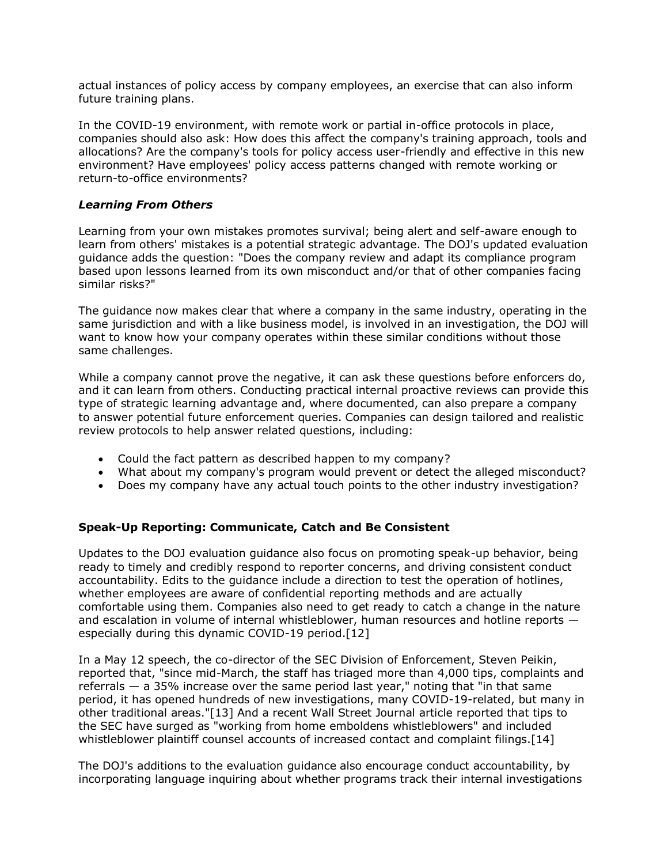actual instances of policy access by company employees, an exercise that can also inform future training plans.

In the COVID-19 environment, with remote work or partial in-office protocols in place, companies should also ask: How does this affect the company's training approach, tools and allocations? Are the company's tools for policy access user-friendly and effective in this new environment? Have employees' policy access patterns changed with remote working or return-to-office environments?

#### *Learning From Others*

Learning from your own mistakes promotes survival; being alert and self-aware enough to learn from others' mistakes is a potential strategic advantage. The DOJ's updated evaluation guidance adds the question: "Does the company review and adapt its compliance program based upon lessons learned from its own misconduct and/or that of other companies facing similar risks?"

The guidance now makes clear that where a company in the same industry, operating in the same jurisdiction and with a like business model, is involved in an investigation, the DOJ will want to know how your company operates within these similar conditions without those same challenges.

While a company cannot prove the negative, it can ask these questions before enforcers do, and it can learn from others. Conducting practical internal proactive reviews can provide this type of strategic learning advantage and, where documented, can also prepare a company to answer potential future enforcement queries. Companies can design tailored and realistic review protocols to help answer related questions, including:

- Could the fact pattern as described happen to my company?
- What about my company's program would prevent or detect the alleged misconduct?
- Does my company have any actual touch points to the other industry investigation?

# **Speak-Up Reporting: Communicate, Catch and Be Consistent**

Updates to the DOJ evaluation guidance also focus on promoting speak-up behavior, being ready to timely and credibly respond to reporter concerns, and driving consistent conduct accountability. Edits to the guidance include a direction to test the operation of hotlines, whether employees are aware of confidential reporting methods and are actually comfortable using them. Companies also need to get ready to catch a change in the nature and escalation in volume of internal whistleblower, human resources and hotline reports especially during this dynamic COVID-19 period.[12]

In a May 12 speech, the co-director of the SEC Division of Enforcement, Steven Peikin, reported that, "since mid-March, the staff has triaged more than 4,000 tips, complaints and referrals — a 35% increase over the same period last year," noting that "in that same period, it has opened hundreds of new investigations, many COVID-19-related, but many in other traditional areas."[13] And a recent Wall Street Journal article reported that tips to the SEC have surged as "working from home emboldens whistleblowers" and included whistleblower plaintiff counsel accounts of increased contact and complaint filings.[14]

The DOJ's additions to the evaluation guidance also encourage conduct accountability, by incorporating language inquiring about whether programs track their internal investigations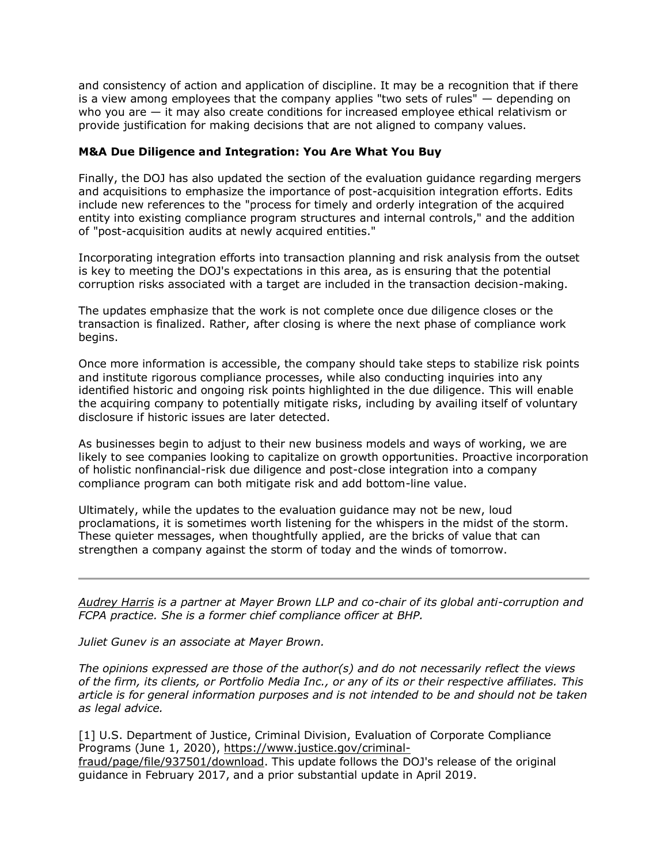and consistency of action and application of discipline. It may be a recognition that if there is a view among employees that the company applies "two sets of rules" — depending on who you are — it may also create conditions for increased employee ethical relativism or provide justification for making decisions that are not aligned to company values.

#### **M&A Due Diligence and Integration: You Are What You Buy**

Finally, the DOJ has also updated the section of the evaluation guidance regarding mergers and acquisitions to emphasize the importance of post-acquisition integration efforts. Edits include new references to the "process for timely and orderly integration of the acquired entity into existing compliance program structures and internal controls," and the addition of "post-acquisition audits at newly acquired entities."

Incorporating integration efforts into transaction planning and risk analysis from the outset is key to meeting the DOJ's expectations in this area, as is ensuring that the potential corruption risks associated with a target are included in the transaction decision-making.

The updates emphasize that the work is not complete once due diligence closes or the transaction is finalized. Rather, after closing is where the next phase of compliance work begins.

Once more information is accessible, the company should take steps to stabilize risk points and institute rigorous compliance processes, while also conducting inquiries into any identified historic and ongoing risk points highlighted in the due diligence. This will enable the acquiring company to potentially mitigate risks, including by availing itself of voluntary disclosure if historic issues are later detected.

As businesses begin to adjust to their new business models and ways of working, we are likely to see companies looking to capitalize on growth opportunities. Proactive incorporation of holistic nonfinancial-risk due diligence and post-close integration into a company compliance program can both mitigate risk and add bottom-line value.

Ultimately, while the updates to the evaluation guidance may not be new, loud proclamations, it is sometimes worth listening for the whispers in the midst of the storm. These quieter messages, when thoughtfully applied, are the bricks of value that can strengthen a company against the storm of today and the winds of tomorrow.

*[Audrey Harris](https://www.mayerbrown.com/en/people/h/harris-audrey-l?tab=overview) is a partner at [Mayer Brown LLP](https://www.law360.com/firms/mayer-brown) and co-chair of its global anti-corruption and FCPA practice. She is a former chief compliance officer at BHP.*

*Juliet Gunev is an associate at Mayer Brown.*

*The opinions expressed are those of the author(s) and do not necessarily reflect the views of the firm, its clients, or Portfolio Media Inc., or any of its or their respective affiliates. This article is for general information purposes and is not intended to be and should not be taken as legal advice.*

[1] U.S. Department of Justice, Criminal Division, Evaluation of Corporate Compliance Programs (June 1, 2020), [https://www.justice.gov/criminal](https://www.justice.gov/criminal-fraud/page/file/937501/download)[fraud/page/file/937501/download.](https://www.justice.gov/criminal-fraud/page/file/937501/download) This update follows the DOJ's release of the original guidance in February 2017, and a prior substantial update in April 2019.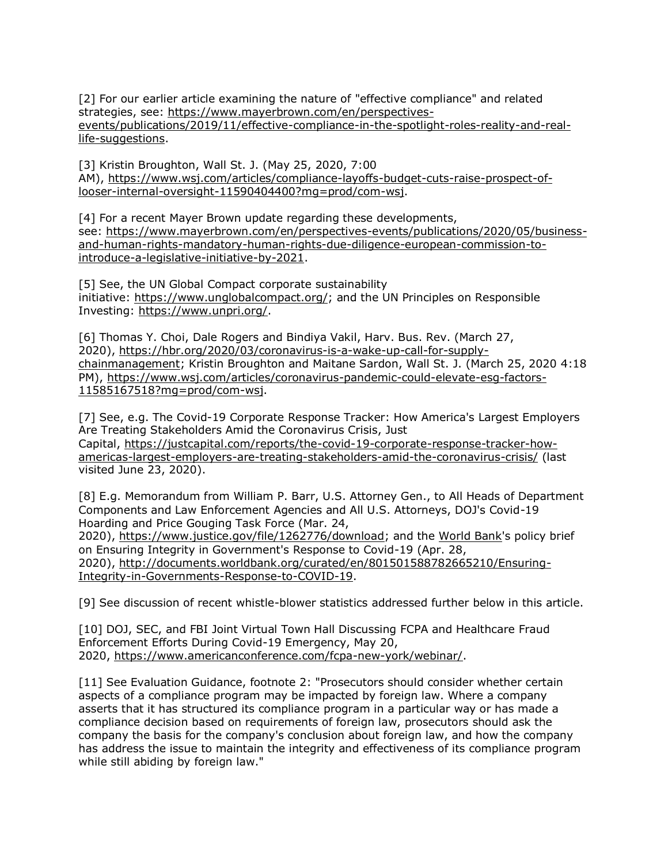[2] For our earlier article examining the nature of "effective compliance" and related strategies, see: [https://www.mayerbrown.com/en/perspectives](https://www.mayerbrown.com/en/perspectives-events/publications/2019/11/effective-compliance-in-the-spotlight-roles-reality-and-real-life-suggestions)[events/publications/2019/11/effective-compliance-in-the-spotlight-roles-reality-and-real](https://www.mayerbrown.com/en/perspectives-events/publications/2019/11/effective-compliance-in-the-spotlight-roles-reality-and-real-life-suggestions)[life-suggestions.](https://www.mayerbrown.com/en/perspectives-events/publications/2019/11/effective-compliance-in-the-spotlight-roles-reality-and-real-life-suggestions)

[3] Kristin Broughton, Wall St. J. (May 25, 2020, 7:00 AM), [https://www.wsj.com/articles/compliance-layoffs-budget-cuts-raise-prospect-of](https://www.wsj.com/articles/compliance-layoffs-budget-cuts-raise-prospect-of-looser-internal-oversight-11590404400?mg=prod/com-wsj)[looser-internal-oversight-11590404400?mg=prod/com-wsj.](https://www.wsj.com/articles/compliance-layoffs-budget-cuts-raise-prospect-of-looser-internal-oversight-11590404400?mg=prod/com-wsj)

[4] For a recent Mayer Brown update regarding these developments, see: [https://www.mayerbrown.com/en/perspectives-events/publications/2020/05/business](https://www.mayerbrown.com/en/perspectives-events/publications/2020/05/business-and-human-rights-mandatory-human-rights-due-diligence-european-commission-to-introduce-a-legislative-initiative-by-2021)[and-human-rights-mandatory-human-rights-due-diligence-european-commission-to](https://www.mayerbrown.com/en/perspectives-events/publications/2020/05/business-and-human-rights-mandatory-human-rights-due-diligence-european-commission-to-introduce-a-legislative-initiative-by-2021)[introduce-a-legislative-initiative-by-2021.](https://www.mayerbrown.com/en/perspectives-events/publications/2020/05/business-and-human-rights-mandatory-human-rights-due-diligence-european-commission-to-introduce-a-legislative-initiative-by-2021)

[5] See, the UN Global Compact corporate sustainability initiative: [https://www.unglobalcompact.org/;](https://www.unglobalcompact.org/) and the UN Principles on Responsible Investing: [https://www.unpri.org/.](https://www.unpri.org/)

[6] Thomas Y. Choi, Dale Rogers and Bindiya Vakil, Harv. Bus. Rev. (March 27, 2020), [https://hbr.org/2020/03/coronavirus-is-a-wake-up-call-for-supply](https://hbr.org/2020/03/coronavirus-is-a-wake-up-call-for-supply-chainmanagement)[chainmanagement;](https://hbr.org/2020/03/coronavirus-is-a-wake-up-call-for-supply-chainmanagement) Kristin Broughton and Maitane Sardon, Wall St. J. (March 25, 2020 4:18 PM), [https://www.wsj.com/articles/coronavirus-pandemic-could-elevate-esg-factors-](https://www.wsj.com/articles/coronavirus-pandemic-could-elevate-esg-factors-11585167518?mg=prod/com-wsj)[11585167518?mg=prod/com-wsj.](https://www.wsj.com/articles/coronavirus-pandemic-could-elevate-esg-factors-11585167518?mg=prod/com-wsj)

[7] See, e.g. The Covid-19 Corporate Response Tracker: How America's Largest Employers Are Treating Stakeholders Amid the Coronavirus Crisis, Just Capital, [https://justcapital.com/reports/the-covid-19-corporate-response-tracker-how](https://justcapital.com/reports/the-covid-19-corporate-response-tracker-how-americas-largest-employers-are-treating-stakeholders-amid-the-coronavirus-crisis/)[americas-largest-employers-are-treating-stakeholders-amid-the-coronavirus-crisis/](https://justcapital.com/reports/the-covid-19-corporate-response-tracker-how-americas-largest-employers-are-treating-stakeholders-amid-the-coronavirus-crisis/) (last visited June 23, 2020).

[8] E.g. Memorandum from William P. Barr, U.S. Attorney Gen., to All Heads of Department Components and Law Enforcement Agencies and All U.S. Attorneys, DOJ's Covid-19 Hoarding and Price Gouging Task Force (Mar. 24,

2020), [https://www.justice.gov/file/1262776/download;](https://www.justice.gov/file/1262776/download) and the [World Bank'](https://www.law360.com/agencies/world-bank-group)s policy brief on Ensuring Integrity in Government's Response to Covid-19 (Apr. 28, 2020), [http://documents.worldbank.org/curated/en/801501588782665210/Ensuring-](http://documents.worldbank.org/curated/en/801501588782665210/Ensuring-Integrity-in-Governments-Response-to-COVID-19)[Integrity-in-Governments-Response-to-COVID-19.](http://documents.worldbank.org/curated/en/801501588782665210/Ensuring-Integrity-in-Governments-Response-to-COVID-19)

[9] See discussion of recent whistle-blower statistics addressed further below in this article.

[10] DOJ, SEC, and FBI Joint Virtual Town Hall Discussing FCPA and Healthcare Fraud Enforcement Efforts During Covid-19 Emergency, May 20, 2020, [https://www.americanconference.com/fcpa-new-york/webinar/.](https://www.americanconference.com/fcpa-new-york/webinar/)

[11] See Evaluation Guidance, footnote 2: "Prosecutors should consider whether certain aspects of a compliance program may be impacted by foreign law. Where a company asserts that it has structured its compliance program in a particular way or has made a compliance decision based on requirements of foreign law, prosecutors should ask the company the basis for the company's conclusion about foreign law, and how the company has address the issue to maintain the integrity and effectiveness of its compliance program while still abiding by foreign law."